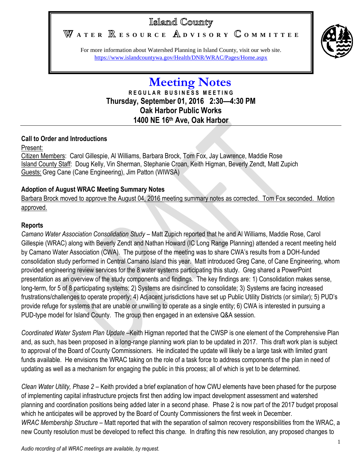# Island County

WATER **RESOURCE** ADVISORY COMMITTEE



For more information about Watershed Planning in Island County, visit our web site. <https://www.islandcountywa.gov/Health/DNR/WRAC/Pages/Home.aspx>

# **Meeting Notes R E G U L A R B U S I N E S S M E E T I N G Thursday, September 01, 2016 2:30—4:30 PM Oak Harbor Public Works 1400 NE 16th Ave, Oak Harbor**

# **Call to Order and Introductions**

## Present:

Citizen Members: Carol Gillespie, Al Williams, Barbara Brock, Tom Fox, Jay Lawrence, Maddie Rose Island County Staff: Doug Kelly, Vin Sherman, Stephanie Croan, Keith Higman, Beverly Zendt, Matt Zupich Guests: Greg Cane (Cane Engineering), Jim Patton (WIWSA)

# **Adoption of August WRAC Meeting Summary Notes**

Barbara Brock moved to approve the August 04, 2016 meeting summary notes as corrected. Tom Fox seconded. Motion approved.

## **Reports**

*Camano Water Association Consolidation Study* – Matt Zupich reported that he and Al Williams, Maddie Rose, Carol Gillespie (WRAC) along with Beverly Zendt and Nathan Howard (IC Long Range Planning) attended a recent meeting held by Camano Water Association (CWA). The purpose of the meeting was to share CWA's results from a DOH-funded consolidation study performed in Central Camano Island this year. Matt introduced Greg Cane, of Cane Engineering, whom provided engineering review services for the 8 water systems participating this study. Greg shared a PowerPoint presentation as an overview of the study components and findings. The key findings are: 1) Consolidation makes sense, long-term, for 5 of 8 participating systems; 2) Systems are disinclined to consolidate; 3) Systems are facing increased frustrations/challenges to operate properly; 4) Adjacent jurisdictions have set up Public Utility Districts (or similar); 5) PUD's provide refuge for systems that are unable or unwilling to operate as a single entity; 6) CWA is interested in pursuing a PUD-type model for Island County. The group then engaged in an extensive Q&A session.

*Coordinated Water System Plan Update* –Keith Higman reported that the CWSP is one element of the Comprehensive Plan and, as such, has been proposed in a long-range planning work plan to be updated in 2017. This draft work plan is subject to approval of the Board of County Commissioners. He indicated the update will likely be a large task with limited grant funds available. He envisions the WRAC taking on the role of a task force to address components of the plan in need of updating as well as a mechanism for engaging the public in this process; all of which is yet to be determined.

*Clean Water Utility, Phase 2* – Keith provided a brief explanation of how CWU elements have been phased for the purpose of implementing capital infrastructure projects first then adding low impact development assessment and watershed planning and coordination positions being added later in a second phase. Phase 2 is now part of the 2017 budget proposal which he anticipates will be approved by the Board of County Commissioners the first week in December. *WRAC Membership Structure* – Matt reported that with the separation of salmon recovery responsibilities from the WRAC, a new County resolution must be developed to reflect this change. In drafting this new resolution, any proposed changes to